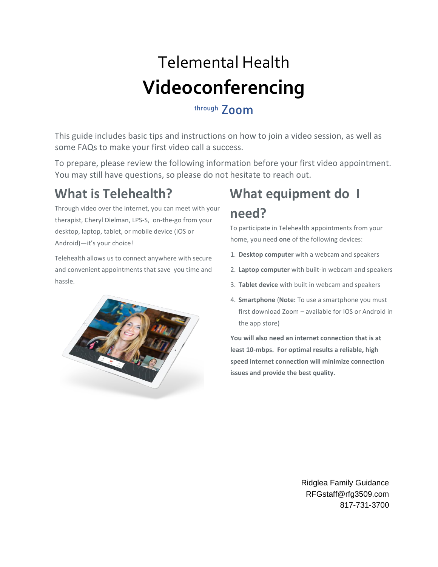# Telemental Health **Videoconferencing**

### through **700m**

This guide includes basic tips and instructions on how to join a video session, as well as some FAQs to make your first video call a success.

To prepare, please review the following information before your first video appointment. You may still have questions, so please do not hesitate to reach out.

### **What is Telehealth?**

Through video over the internet, you can meet with your therapist, Cheryl Dielman, LPS-S, on-the-go from your desktop, laptop, tablet, or mobile device (iOS or Android)—it's your choice!

Telehealth allows us to connect anywhere with secure and convenient appointments that save you time and hassle.



## **What equipment do I need?**

To participate in Telehealth appointments from your home, you need **one** of the following devices:

- 1. **Desktop computer** with a webcam and speakers
- 2. **Laptop computer** with built-in webcam and speakers
- 3. **Tablet device** with built in webcam and speakers
- 4. **Smartphone** (**Note:** To use a smartphone you must first download Zoom – available for IOS or Android in the app store)

**You will also need an internet connection that is at least 10-mbps. For optimal results a reliable, high speed internet connection will minimize connection issues and provide the best quality.**

> Ridglea Family Guidance RFGstaff@rfg3509.com 817-731-3700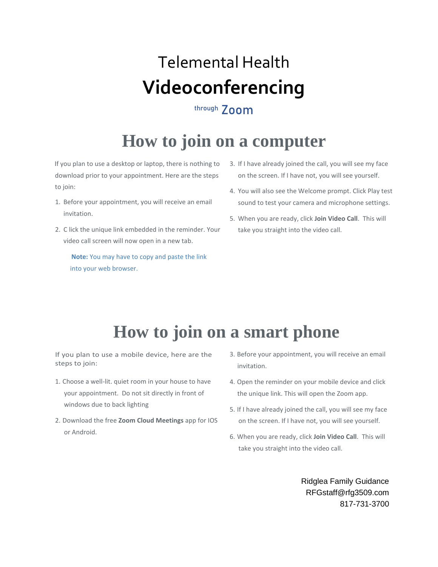# Telemental Health **Videoconferencing**

### through **700m**

## **How to join on a computer**

If you plan to use a desktop or laptop, there is nothing to download prior to your appointment. Here are the steps to join:

- 1. Before your appointment, you will receive an email invitation.
- 2. C lick the unique link embedded in the reminder. Your video call screen will now open in a new tab.

**Note:** You may have to copy and paste the link into your web browser.

- 3. If I have already joined the call, you will see my face on the screen. If I have not, you will see yourself.
- 4. You will also see the Welcome prompt. Click Play test sound to test your camera and microphone settings.
- 5. When you are ready, click **Join Video Call**. This will take you straight into the video call.

## **How to join on a smart phone**

If you plan to use a mobile device, here are the steps to join:

- 1. Choose a well-lit. quiet room in your house to have your appointment. Do not sit directly in front of windows due to back lighting
- 2. Download the free **Zoom Cloud Meetings** app for IOS or Android.
- 3. Before your appointment, you will receive an email invitation.
- 4. Open the reminder on your mobile device and click the unique link. This will open the Zoom app.
- 5. If I have already joined the call, you will see my face on the screen. If I have not, you will see yourself.
- 6. When you are ready, click **Join Video Call**. This will take you straight into the video call.

Ridglea Family Guidance RFGstaff@rfg3509.com 817-731-3700